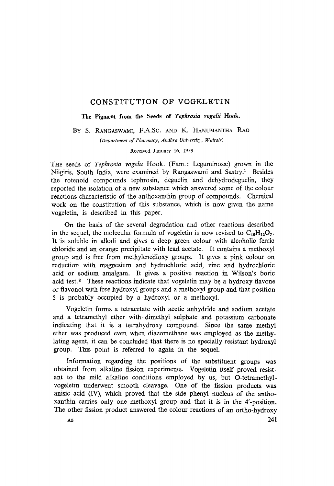## CONSTITUTION OF VOGELETIN

The Pigment from **the Seeds of** *Tephrosia vogelii* Hook.

BY S. RANGASWAMI, F.A.Sc. AND K. HANUMANTHA RAO

*(Department of Pharmacy, Andhra University, Waltoir)* 

Received January 16, 1959

THE seeds of *Tephrosia vogelii* Hook. (Fam.: Leguminosæ) grown in the Nilgiris, South India, were examined by Rangaswami and Sastry.<sup>1</sup> Besides the rotenoid compounds tephrosin, deguelin and dehydrodeguelin, they reported the isolation of a new substance which answered some of the colour reactions characteristic of the anthoxanthin group of compounds. Chemical work on the constitution of this substance, which is now given the name vogeletin, is described in this paper.

On the basis of the several degradation and other reactions described in the sequel, the molecular formula of vogeletin is now revised to  $C_{16}H_{12}O_7$ . It is soluble in alkali and gives a deep green colour with alcoholic ferric chloride and an orange precipitate with lead acetate. It contains a methoxyl group and is free from methylenedioxy groups. It gives a pink colour on reduction with magnesium and hydrochloric acid, zinc and hydrochloric acid or sodium amalgam. It gives a positive reaction in Wilson's boric acid test.<sup>2</sup> These reactions indicate that vogeletin may be a hydroxy flavone or flavonol with free hydroxyl groups anda methoxyl group and that position 5 is probably occupied by a hydroxyl or a methoxyl.

Vogeletin forms a tetracetate with acetic anhydride and sodium acetate and a tetramethyl ether with-dimethyl, sulphate and potassium carbonate indicating that it is a tetrahydroxy compound. Since the same methyl ether was produced even when diazomethane was employed as the methylating agent, it can be concluded that there is no specially resistant hydroxyl group. This point is referred to again in the sequel.

Information regaxding the positions of the substituent groups was obtained from alkaline fission experiments. Vogeletin itself proved resistant to the mild alkaline conditions employed by us, but O-tetramethylvogeletin underwent smooth cleavage. One of the fission products was anisic acid (IV), which proved that the side phenyl nucleus of the anthoxanthin carries only one methoxyl group and that it is in the 4'-position. The other fission product answered the colour reactions of an ortho-hydroxy

 $A5$  241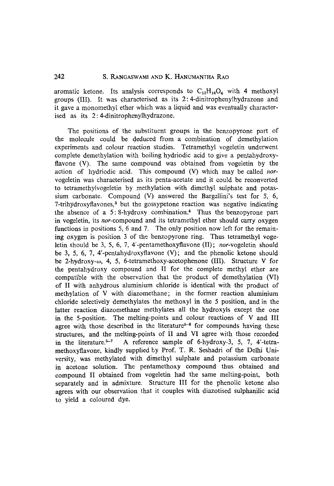# 242 S. RANGASWAMI AND K. HANUMANTHA RAO

aromatic ketone. Its analysis corresponds to  $C_{12}H_{16}O_6$  with 4 methoxyl groups (III). It was characterised as its  $2:4$ -dinitrophenylhydrazone and it gave a monomethyl ether which was a liquid and was eventually characterised as its 2: 4-dinitrophenylhydrazone.

The positions of the substituent groups in the benzopyrone part of the molecule could be deduced from a combination of demethylation experiments and colour reaction studies. Tetramethyl vogeletin underwent complete demethylation with boiling hydriodic acid to give a pentahydroxyflavone (V). The same compound was obtained from vogeletin by the action of hydriodic acid. This compound (V) which may be called *nor*vogeletin was characterised as its penta-acetate and it could be reconverted to tetramethytvogeletin by methylation with dimethyl sulphate and potassium carbonate. Compound  $(V)$  answered the Bargellini's test for 5, 6,  $7$ -trihydroxyflavones,<sup>3</sup> but the gossypetone reaction was negative indicating the absence of a 5:8-hydroxy combination.<sup>4</sup> Thus the benzopyrone part in vogeletin, its *nor-compound* and its tetramethyl ether should carry oxygen functions in positions 5, 6 and 7. The only position now left for the remaining oxygen is position  $3$  of the benzopyrone ring. Thus tetramethyl vogeletin should be 3, 5, 6, 7, 4'-pentamethoxyflavone (II); *nor-vogeletin* should be 3, 5, 6, 7, 4'-pentahydroxyflavone (V); and the phenolic ketone should be 2-hydroxy- $\omega$ , 4, 5, 6-tetramethoxy-acetophenone (III). Structure V for the pentahydroxy compound and II for the complete methyl ether are compatible with the observation that the product of demethylation (VI) of II with anhydrous aluminium chloride is identical with the product of methylation of V with diazomethane; in the former reaction aluminium chloride selectively demethylates the methoxyl in the 5 position, and in the latter reaction diazomethane methylates all the hydroxyls except the one in the 5-position. The melting-points and colour reactions of V and III agree with those described in the literature<sup> $5-6$ </sup> for compounds having these structures, and the melting-points of II and VI agree with those recorded in the literature.<sup> $5-7$ </sup> A reference sample of 6-hydroxy-3, 5, 7, 4'-tetramethoxyflavone, kindly supplied by Prof. T. R. Seshadri of the Delhi University, was methylated with dimethyl sulphate and potassium carbonate in acetone solution. The pentamethoxy compound thus obtained and compound Ii obtained from vogeletin had the same melting-point, both separately and in admixture. Structure III for the phenolic ketone also agrees with our observation that it couples with diazotised sulphanilic acid to yield a coloured dye.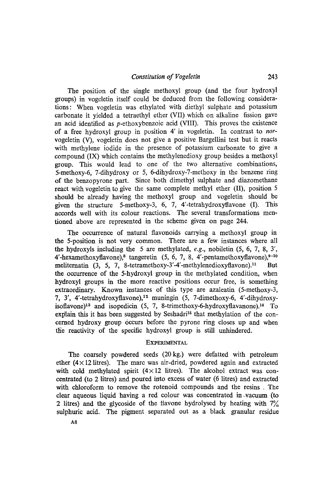The position of the single methoxyl group (and the four hydroxyl groups) in vogeletin itself could be deduced from the following considerations: When vogeletin was ethylated with diethyl sulphate and potassium carbonate it vielded a tetraethyl ether (VII) which on alkaline fission gave an acid identified as  $p$ -ethoxybenzoic acid (VIII). This proves the existence of a free hydroxyl group in position 4' in vogeletin. In contrast to *nor*vogeletin (V), vogeletin does not give a positive Bargellini test but it reacts with methylene iodide in the presence of potassium carbonate to give a compound (IX) which contains the methylenedioxy group besides a methoxyl group. This would lead to one of the two alternative combinations, 5-methoxy-6, 7-dihydroxy or 5, 6-dihydroxy-7-methoxy in the benzene ring of the benzopyrone part. Since both dimethyl sulphate and diazomethane react with vogeletin to give the same complete methyl ether (II), position 5 should be already having the methoxyl group and vogeletin should be given the structure 5-methoxy-3, 6, 7, 4'-tetrahydroxyflavone  $(I)$ . This accords well with its colour reactions. The several transformations mentioned above are represented in the scheme given on page 244.

The occurrence of natural flavonoids carrying a methoxyl group in the 5-position is not very common. There are a few instances where all the hydroxyls including the 5 are methylated, *e.g.,* nobiletin (5, 6, 7, 8, 3', 4'-hexamethoxyflavone),<sup>8</sup> tangeretin (5, 6, 7, 8, 4'-pentamethoxyflavone), $9-10$ meliternatin (3, 5, 7, 8-tetramethoxy-3'-4'-methylenedioxyflavone).<sup>11</sup> But the occurrence of the 5-hydroxyl group in the methylated condition, when hydroxyl groups in the more reactive positions occur free, is something extraordinary. Known instances of this type are azaleatin (5-methoxy-3, 7, 3', 4'-tetrahydroxyflavone),<sup>12</sup> muningin (5, 7-dimethoxy-6, 4'-dihydroxyisoflavone)<sup>13</sup> and isopedicin  $(5, 7, 8\text{-}$ trimethoxy-6-hydroxyflavanone).<sup>14</sup> To explain this it has been suggested by Seshadri<sup>15</sup> that methylation of the concerned hydroxy group occurs before the pyrone ring closes up and when the reactivity of the specific hydroxyl group is still unhindered.

# **EXPERIMENTAL**

The coarsely powdered seeds (20kg.) were defatted with petroleum ether  $(4 \times 12)$  litres). The marc was air-dried, powdered again and extracted with cold methylated spirit  $(4 \times 12)$  litres). The alcohol extract was concentrated (to 2 litres) and poured into excess of water (6 litres) and extracted with chloroform to remove the rotenoid compounds and the resins . The clear aqueous liquid having a red colour was concentrated in--vacuum (to 2 litres) and the glycoside of the flavone hydrolysed by heating with  $7\%$ sulphuric acid. The pigment separated out as a black granular residue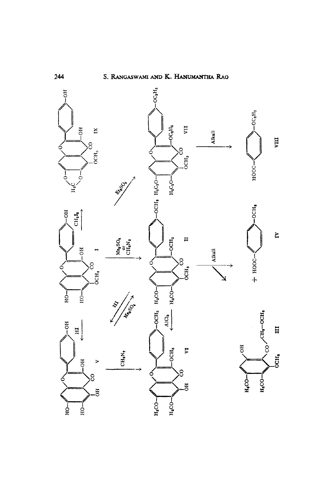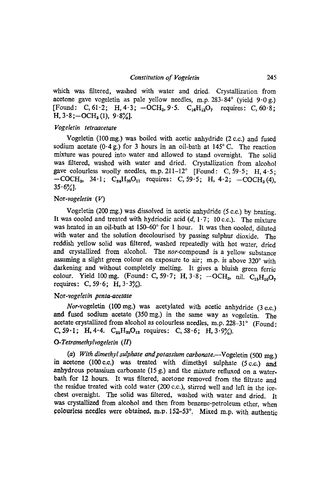which was filtered, washed with water and dried. Crystallization from acetone gave vogeletin as pale yellow needles, m.p. 283-84 $^{\circ}$  (yield 9.0g.) [Found: C, 61.2; H, 4.3; -OCH<sub>3</sub>, 9.5. C<sub>16</sub>H<sub>12</sub>O<sub>7</sub> requires: C, 60.8;  $H, 3.8$ ; -OC $H<sub>3</sub>(1)$ , 9.8%].

#### *Vogeletin tetraacetate*

Vogeletin (100 mg.) was boiled with acetic aahydride (2 c.c.) and fused sodium acetate  $(0.4 g)$  for 3 hours in an oil-bath at 145°C. The reaction mixture was poured into water and allowed to stand overnight. The solid was filtered, washed with water and dried. Crystallization from alcohol gave colourless woolly needles, m.p.  $211-12^{\circ}$  [Found: C, 59.5; H, 4.5;  $-COCH_3$ , 34.1;  $C_{24}H_{20}O_{11}$  requires: C, 59.5; H, 4.2;  $-COCH_3(4)$ ,  $35.6%$ ].

#### *Nor-vogeletin (V)*

Vogeletin (200 mg.) was dissolved in acetic anhydride (5 e.e.) by heating. It was cooled and treated with hydriodic acid  $(d, 1.7; 10 \text{ c.c.})$ . The mixture was heated in an oil-bath at 150-60° for 1 hour. It was then cooled, diluted with water and the solution decolourised by passing sulphur dioxide. The reddish yellow solid was filtered, washed repeatedly with hot water, dried and crystaUized from alcohol. *The nor-compound* is a yellow substance assuming a slight green colour on exposure to air; m.p. is above  $320^\circ$  with darkening and without completely melting. It gives a bluish green ferric colour. Yield 100 mg. (Found: C, 59.7; H, 3.8;  $-OCH_3$ , nil. C<sub>15</sub>H<sub>10</sub>O<sub>7</sub> requires: C, 59 $\cdot$ 6; H, 3 $\cdot$ 3%).

#### *Nor-vogetetin penta-acetate*

*Nor-vogeletin* (100 mg.) was acetylated with acetic anhydride (3 c.c.) and fused sodium acetate (350 mg.) in the same way as vogeletin. The acetate crystallized from alcohol as colourless needles, m.p. 228-31° (Found: C, 59.1; H, 4.4.  $C_{25}H_{20}O_{12}$  requires: C, 58.6; H, 3.9%).

# *O-Tetramethylvogeletin (II)*

(a) With dimethyl sulphate and potassium carbonate.--Vogeletin (500 mg.) in acetone (100 c.c.) was treated with dimethyl sulphate (5 c.c.) and anhydrous potassium carbonate (15 g.) and the mixture refluxed on a waterbath for 12 hours. It was filtered, acetone removed from the filtrate and the residue treated with cold water (200 c.c.), stirred *we11* and left in the icechest overnight. The solid was filtered, washed with water and dried. It was crystallized from alcohol and then from benzene-petroleum ether, when colourless needles were obtained, m.p. 152-53°. Mixed m.p. with authentic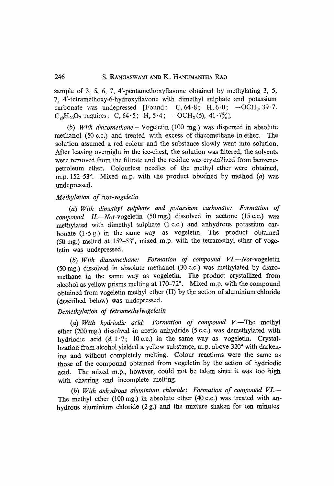# 246 S. RANGASWAMI AND K. HANUMANTHA RAO

sample of 3, 5, 6, 7, 4'-pentamethoxyflavone obtained by methylating 3, 5, 7, 4'-tetramethoxy-6-hydroxyflavone with dimethyl sulphate and potassium carbonate was undepressed [Found: C,  $64.8$ ; H,  $6.0$ ;  $-OCH<sub>3</sub>$ ,  $39.7$ .  $C_{20}H_{20}O_7$  requires: C, 64.5; H, 5.4;  $-OCH_3(5)$ , 41.7%.

*(b) With diazomethane.--Vogeletin* (100 mg.) was dispersed in absolute methanol (50 c.c.) and treated with excess of diazomethane in ether. The solution assumed a red colour and the substance slowly went into solution. After leaving overnight in the ice-chest, the solution was filtered, the solvents were removed from the filtrate and the residue was crystallized from benzenepetroleum ether. Colourless needles of the methyl ether were obtained, m.p.  $152-53^{\circ}$ . Mixed m.p. with the product obtained by method (a) was undepressed.

### *Methylation of nor-vogeletin*

*(a) With dimethyl sulphate and potassium carbonate: Formation of compound II.--Nor-vogeletin* (50mg.) dissolved in acetone (15c.c.) was methylated with dimethyl sulphate (1 c.c.) and anhydrous potassium carbonate  $(1.5g)$  in the same way as vogeletin. The product obtained (50 mg.) melted at  $152-53^{\circ}$ , mixed m.p. with the tetramethyl ether of vogeletin was undepressed.

*(b) With diazomethane: Formation of compound VL--Nor-vogeletin*   $(50 \text{ mg.})$  dissolved in absolute methanol  $(30 \text{ c.c.})$  was methylated by diazomethane in the same way as vogeletin. The product crystallized from alcohol as yellow prisms melting at  $170-72^\circ$ . Mixed m.p. with the compound obtained from vogeletin methyl ether (II) by the action of aluminium chloride (described below) was undepressed.

#### *Demethylation of tetrameth.ytvogeletin*

*(a) With hydriodic acid: Formation of compound V.--The* methyl ether (200 mg.) dissolved in acetic anhydride (5 c.c.) was demethylated with hydriodic acid  $(d, 1.7; 10$  c.c.) in the same way as vogeletin. Crystalhzation from alcohol yielded a yellow substance, m.p. above 320° with darkening and without completely melting. Colour reactions were the same as those of the compound obtained from vogeletin by the action of hydriodic acid. The mixed m.p., however, could not be taken since it was too high with charring and incomplete melting.

*(b) With anhydrous aluminium chloride: Formation of compound VI.-*  The methyl ether (100 mg.) in absolute ether (40 c.c.) was treated with anhydrous aluminium chloride (2 g.) and the mixture shaken for ten minutes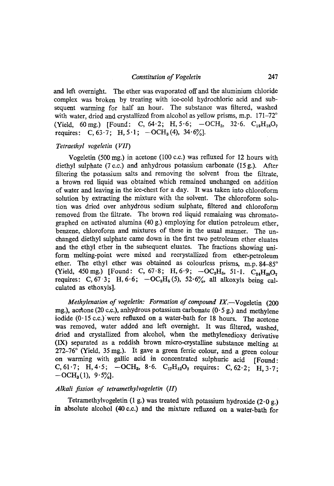and left overnight. The ether was evaporated off and the aluminium chloride complex was broken by treating with ice-cold hydrochloric acid and subsequent warming for half an hour. The substance was filtered, washed with water, dried and crystallized from alcohol as yellow prisms, m.p.  $171-72°$ (Yield, 60 mg.) [Found: C, 64.2; H, 5.6;  $-OCH_3$ , 32.6.  $C_{19}H_{18}O_7$ requires: C,  $63.7$ ; H,  $5.1$ ;  $-OCH<sub>3</sub>(4)$ ,  $34.6\%$ ].

#### *Tetraethyl vogeletin (VI1)*

Vogeletin (500 mg.) in acetone (100 *c.c.)* was refluxed for 12 hours with diethyl sulphate (7 c.c.) and anhydrous potassium carbonate (15 g.). After filtering the potassium salts and removing the solvent from the filtrate, a brown red liquid was obtained which remained tmchanged on addition of water and leaving in the ice-chest fora day. It was taken into chloroform solution by extracting the mixture with the solvent. The chloroform solution was dried over anhydrous sodium sulphate, filtered and chloroform removed from the filtrate. The brown red liquid remaining was chromatographed on activated alumina (40 g.) employing for elution petroleum ether. benzene, chloroform and mixtures of these in the usual manner. The unchanged diethyl sulphate carne down in the first two petroleum ether eluates and the ethyl ether in the subsequent eluates. The fractions showing uniform melting-point were mixed and recrystallized from ether-petroleum ether. The ethyl ether was obtained as colourless prisms, m.p.  $84-85^\circ$ (Yield, 450 mg.) [Found: C, 67.8; H, 6.9;  $-OC<sub>2</sub>H<sub>5</sub>$ , 51.1.  $C<sub>24</sub>H<sub>28</sub>O<sub>7</sub>$ requires: C, 67-3; H, 6.6;  $-OC<sub>2</sub>H<sub>5</sub>(5)$ , 52.6%, all alkoxyls being calculated as ethoxyls].

*Methylenation of vogeletin: Formation of compound IX.*-Vogeletin (200) mg.), acetone (20 c.c.), anhydrous potassium carbonate (0.5 g.) and methylene iodide  $(0.15 \text{ c.c.})$  were refluxed on a water-bath for 18 hours. The acetone was removed, water added ana left overnight. It was filtered, washed, dried and crystallized from alcohol, when the methylenedioxy derivative (IX) separated as a reddish brown micro-crystalline substance melting at  $272-76$ <sup>o</sup> (Yield, 35 mg.). It gave a green ferric colour, and a green colour on warming with gallic acid in concentrated sulphuric acid [Found: C, 61.7; H, 4.5;  $-OCH_3$ , 8.6.  $C_{17}H_{12}O_7$  requires: C, 62.2; H, 3.7;  $-OCH<sub>3</sub>(1), 9.5%$ .

#### *Alkali fission of tetramethylvogeletin (ID*

Tetramethylvogeletin (1 g.) was treated with potassium hydroxide  $(2.0 g.)$ in absolute alcohol (40 c.c.) and the mixture refluxed on a water-bath for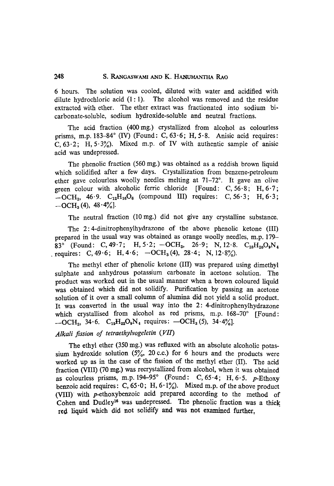### **248** S. RANGASWAMI AND K. HAmJMAN'rHA RAO

6 hours. The solution was cooled, diluted with water and acidified with dilute hydrochloric acid  $(1:1)$ . The alcohol was removed and the residue extracted with ether. The ether extract was fractionated into sodium bicarbonate-soluble, sodium hydroxide-soluble and neutral fractions.

The acid fraction (400mg.) crystallized from alcohol as colourless prisms, m.p. 183-84 $^{\circ}$  (IV) (Found: C, 63 $\cdot$ 6; H, 5 $\cdot$ 8. Anisic acid requires: C,  $63.2$ ; H,  $5.3\%$ ). Mixed m.p. of IV with authentic sample of anisic acid was undepressed.

The phenolic fraction (560 mg.) was obtained as a reddish brown liquid which solidified after a few days. Crystallization from benzene-petroleum ether gave colourless woolly needles melting at  $71-72^\circ$ . It gave an olive green colour with alcoholic ferric chloride [Found:  $C$ , 56.8; H, 6.7;  $-OCH_3$ , 46.9.  $C_{12}H_{16}O_6$  (compound III) requires: C, 56.3; H, 6.3;  $-OCH<sub>3</sub>(4)$ ,  $48.4\%$ ].

The neutral fraction (10 mg.) did not give any crystalline substance.

The 2: 4-dinitrophenylhydrazone of the above phenolic ketone (III) prepared in the usual way was obtained as orange woolly needles, m.p. 179- 83° (Found: C, 49.7; H, 5.2; -OCH<sub>3</sub>, 26.9; N, 12.8. C<sub>18</sub>H<sub>20</sub>O<sub>9</sub>N<sub>4</sub> requires: C, 49.6; H, 4.6;  $-OCH_3(4)$ , 28.4; N, 12.8%).

The methyl ether of phenolic ketone (III) was prepared using dimethyl sulphate and anhydrous potassium carbonate in acetone solution. The product was worked out in the usual manner when a brown coloured liquid was obtained which did not solidify. Purification by passing an acetone solution of it over a small column of alumina did not yield a solid product. Ir was converted in the usual way into the 2: 4-dinitrophenylhydrazone which crystallised from alcohol as red prisms, m.p. 168-70° [Found:  $-OCH_3$ , 34.6.  $C_{19}H_{22}O_9N_4$  requires:  $-OCH_3(5)$ , 34.4%].

# *Alkali fission of tetraethylvogeletin (VII)*

The ethyl ether (350 mg.) was refluxed with an absolute alcoholic potassium hydroxide solution  $(5\% , 20 \text{ c.c.})$  for 6 hours and the products were worked up as in the case of the fission of the methyl ether (II). The acid fraction (VIII) (70 mg.) was recrystallized from alcohol, when it was obtained as colourless prisms, m.p. 194-95 $^{\circ}$  (Found: C, 65 $\cdot$ 4; H, 6 $\cdot$ 5. p-Ethoxy benzoic acid requires: C,  $65.0$ ; H,  $6.1\%$ ). Mixed m.p. of the above product (VIII) with p-ethoxybenzoic acid prepared according to the method of Cohen and Dudley<sup>16</sup> was undepressed. The phenolic fraction was a thick red liquid which did not solidify and was not examined further.